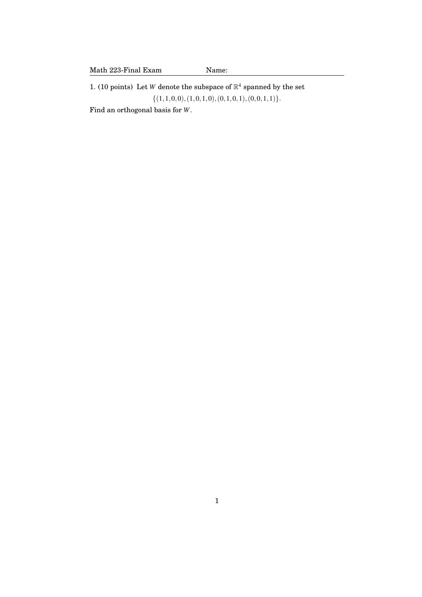1. (10 points) Let *W* denote the subspace of  $\mathbb{R}^4$  spanned by the set  $\{(1,1,0,0),(1,0,1,0),(0,1,0,1),(0,0,1,1)\}.$ Find an orthogonal basis for *W*.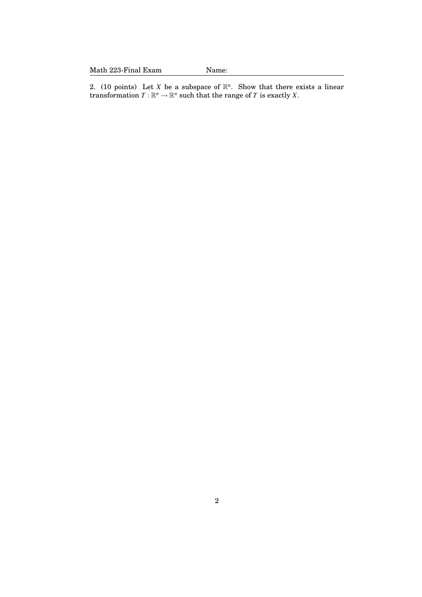Math 223-Final Exam Name:

2. (10 points) Let *X* be a subspace of  $\mathbb{R}^n$ . Show that there exists a linear transformation  $T : \mathbb{R}^n \to \mathbb{R}^n$  such that the range of *T* is exactly *X*.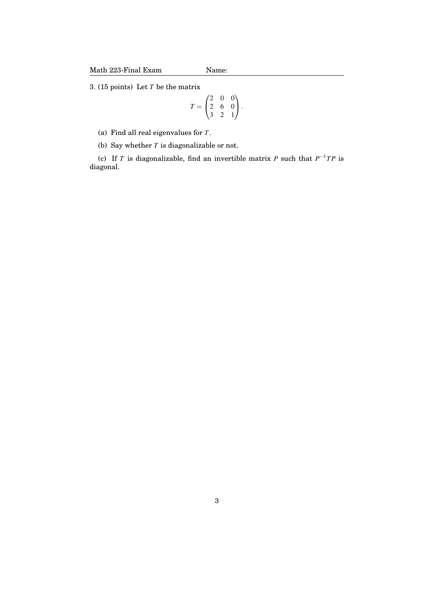3. (15 points) Let *T* be the matrix

$$
T = \begin{pmatrix} 2 & 0 & 0 \\ 2 & 6 & 0 \\ 3 & 2 & 1 \end{pmatrix}.
$$

(a) Find all real eigenvalues for *T*.

(b) Say whether *T* is diagonalizable or not.

(c) If *T* is diagonalizable, find an invertible matrix *P* such that  $P^{-1}TP$  is diagonal.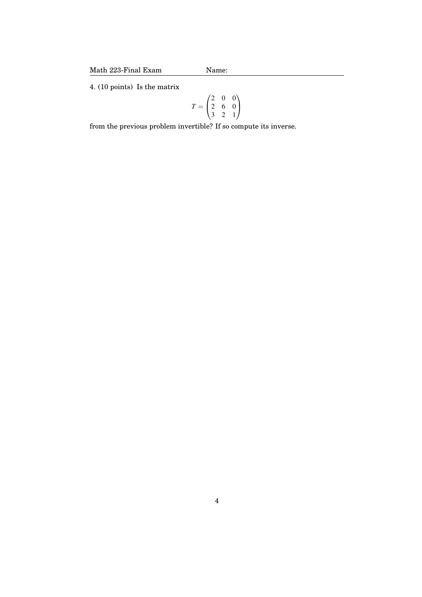4. (10 points) Is the matrix

$$
T = \begin{pmatrix} 2 & 0 & 0 \\ 2 & 6 & 0 \\ 3 & 2 & 1 \end{pmatrix}
$$

from the previous problem invertible? If so compute its inverse.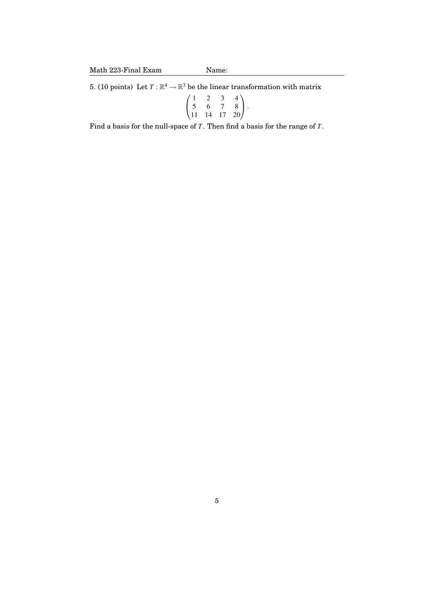5. (10 points) Let  $T : \mathbb{R}^4 \to \mathbb{R}^3$  be the linear transformation with matrix

$$
\begin{pmatrix} 1 & 2 & 3 & 4 \ 5 & 6 & 7 & 8 \ 11 & 14 & 17 & 20 \end{pmatrix}.
$$

Find a basis for the null-space of *T*. Then find a basis for the range of *T*.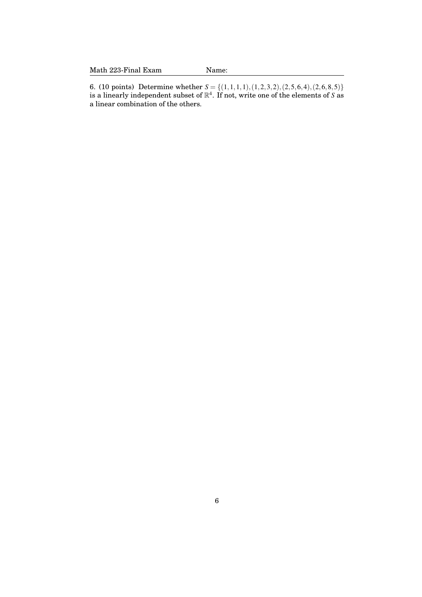6. (10 points) Determine whether  $S = \{(1,1,1,1), (1,2,3,2), (2,5,6,4), (2,6,8,5)\}\$ is a linearly independent subset of R 4 . If not, write one of the elements of *S* as a linear combination of the others.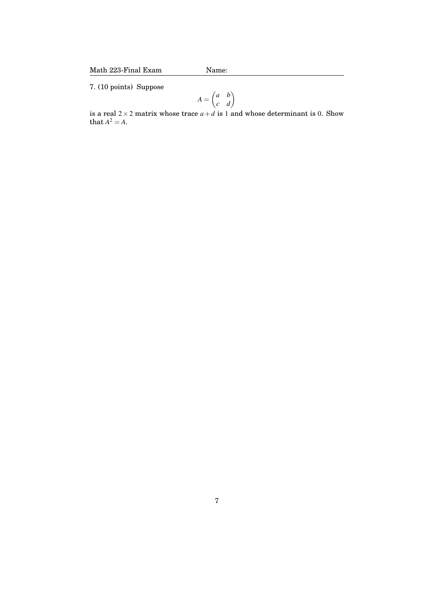7. (10 points) Suppose

$$
A = \begin{pmatrix} a & b \\ c & d \end{pmatrix}
$$

is a real  $2 \times 2$  matrix whose trace  $a + d$  is 1 and whose determinant is 0. Show that  $A^2 = A$ .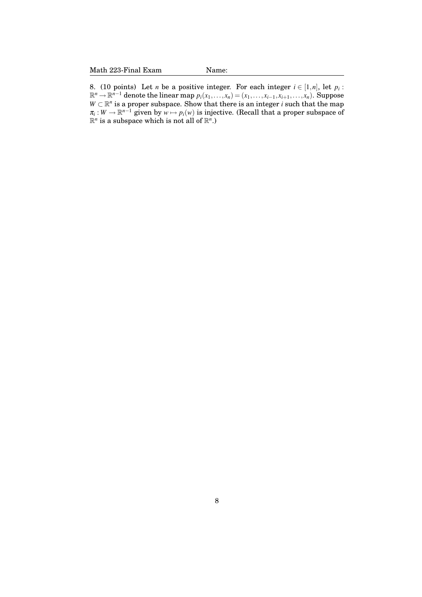8. (10 points) Let *n* be a positive integer. For each integer  $i \in [1, n]$ , let  $p_i$ :  $\mathbb{R}^n \to \mathbb{R}^{n-1}$  denote the linear map  $p_i(x_1,...,x_n) = (x_1,...,x_{i-1},x_{i+1},...,x_n)$ . Suppose  $W \subset \mathbb{R}^n$  is a proper subspace. Show that there is an integer *i* such that the map  $\pi_i: W \to \mathbb{R}^{n-1}$  given by  $w \mapsto p_i(w)$  is injective. (Recall that a proper subspace of  $\mathbb{R}^n$  is a subspace which is not all of  $\mathbb{R}^n$ .)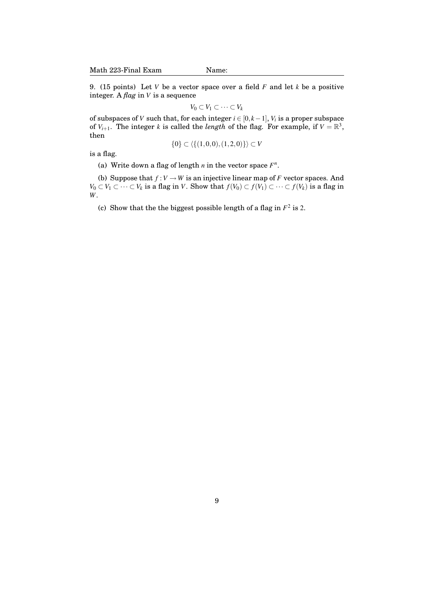9. (15 points) Let *V* be a vector space over a field *F* and let *k* be a positive integer. A *flag* in *V* is a sequence

$$
V_0 \subset V_1 \subset \cdots \subset V_k
$$

of subspaces of *V* such that, for each integer  $i \in [0, k-1]$ ,  $V_i$  is a proper subspace of  $V_{i+1}$ . The integer *k* is called the *length* of the flag. For example, if  $V = \mathbb{R}^3$ , then

$$
\{0\} \subset \langle \{(1,0,0), (1,2,0)\}\rangle \subset V
$$

is a flag.

(a) Write down a flag of length  $n$  in the vector space  $F^n$ .

(b) Suppose that  $f: V \to W$  is an injective linear map of *F* vector spaces. And *V*<sub>0</sub> ⊂ *V*<sub>1</sub> ⊂ ··· ⊂ *V*<sub>*k*</sub> is a flag in *V*. Show that  $f(V_0) \subset f(V_1) \subset \cdots \subset f(V_k)$  is a flag in *W*.

(c) Show that the the biggest possible length of a flag in  $F^2$  is 2.